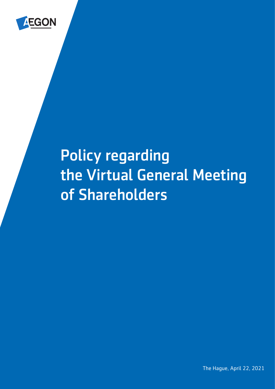

# Policy regarding the Virtual General Meeting of Shareholders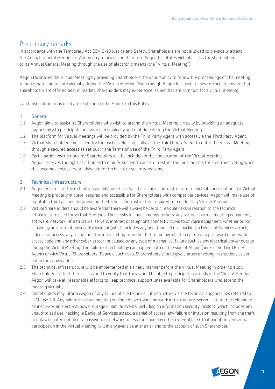### Preliminary remarks

In accordance with the Temporary Act COVID-19 Justice and Safety, Shareholders are not allowed to physically attend the Annual General Meeting of Aegon on premises, and therefore Aegon facilitates virtual access for Shareholders to its Annual General Meeting through the use of electronic means (the "Virtual Meeting").

Aegon facilitates the Virtual Meeting by providing Shareholders the opportunity to follow the proceedings of the meeting, to participate and to vote virtually during the Virtual Meeting. Even though Aegon has used its best efforts to ensure that shareholders are offered best in market, shareholders may experience issues that are common for a virtual meeting.

Capitalised definitions used are explained in the Annex to this Policy.

#### 1. General

- 1.1 Aegon aims to assist its Shareholders who wish to attend the Virtual Meeting virtually by providing an adequate opportunity to participate and vote electronically and real time during the Virtual Meeting.
- 1.2 The platform for Virtual Meetings will be provided by the Third Party Agent with access via the Third Party Agent.
- 1.3 Virtual Shareholders must identify themselves electronically via the Third Party Agent to enter the Virtual Meeting through a secured access as set out in the Terms of Use of the Third Party Agent.
- 1.4 Participation instructions for Shareholders will be included in the convocation of the Virtual Meeting.
- 1.5 Aegon reserves the right at all times to modify, suspend, cancel or restrict the mechanisms for electronic voting when this becomes necessary or advisable for technical or security reasons.

#### 2. Technical infrastructure

- 2.1 Aegon ensures, to the extent reasonably possible, that the technical infrastructure for virtual participation in a Virtual Meeting is properly in place, secured and accessible for Shareholders with compatible devices. Aegon will make use of reputable third parties for providing the technical infrastructure required for conducting Virtual Meetings.
- 2.2 Virtual Shareholders should be aware that there will always be certain residual risks in relation to the technical infrastructure used for Virtual Meetings. These risks include, amongst others: any failure in virtual meeting equipment, software, network infrastructure, servers, internet or telephone connectivity, video or voice equipment, whether or not caused by an information security incident (which includes any unauthorised use, hacking, a Denial of Services attack, a denial of access, any failure or intrusion resulting from the theft or unlawful interception of a password or network access code and any other cyber-attack) or caused by any type of mechanical failure such as any electrical power outage during the Virtual Meeting. The failure of technology can happen both on the side of Aegon (and/or the Third Party Agent) or with Virtual Shareholders. To avoid such risks, Shareholders should give a proxy or voting instructions as set out in the convocation.
- 2.3 The technical infrastructure will be implemented in a timely manner before the Virtual Meeting in order to allow Shareholders to test their access and to verify that they would be able to participate virtually in the Virtual Meeting. Aegon will take all reasonable efforts to keep technical support lines available for Shareholders who attend the meeting virtually.
- 2.4 Shareholders may inform Aegon of any failure of the technical infrastructure via the technical support lines referred to in Clause 2.3. Any failure in virtual meeting equipment, software, network infrastructure, servers, internet or telephone connectivity, an electrical power outage or similar events, including an information security incident (which includes any unauthorised use, hacking, a Denial of Services attack, a denial of access, any failure or intrusion resulting from the theft or unlawful interception of a password or network access code and any other cyber-attack), that might prevent virtual participation in the Virtual Meeting, will in any event be at the risk and to the account of such Shareholder.

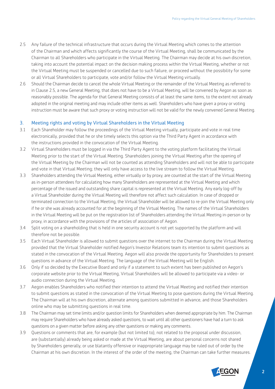- 2.5 Any failure of the technical infrastructure that occurs during the Virtual Meeting which comes to the attention of the Chairman and which affects significantly the course of the Virtual Meeting, shall be communicated by the Chairman to all Shareholders who participate in the Virtual Meeting. The Chairman may decide at his own discretion, taking into account the potential impact on the decision making process within the Virtual Meeting, whether or not the Virtual Meeting must be suspended or cancelled due to such failure, or proceed without the possibility for some or all Virtual Shareholders to participate, vote and/or follow the Virtual Meeting virtually.
- 2.6 Should the Chairman decide to cancel the whole Virtual Meeting or the remainder of the Virtual Meeting as referred to in Clause 2.5, a new General Meeting, that does not have to be a Virtual Meeting, will be convened by Aegon as soon as reasonably possible. The agenda for that General Meeting consists of at least the same items, to the extent not already adopted in the original meeting and may include other items as well. Shareholders who have given a proxy or voting instruction must be aware that such proxy or voting instruction will not be valid for the newly convened General Meeting.

#### 3. Meeting rights and voting by Virtual Shareholders in the Virtual Meeting

- 3.1 Each Shareholder may follow the proceedings of the Virtual Meeting virtually, participate and vote in real time electronically, provided that he or she timely selects this option via the Third Party Agent in accordance with the instructions provided in the convocation of the Virtual Meeting.
- 3.2 Virtual Shareholders must be logged in via the Third Party Agent to the voting platform facilitating the Virtual Meeting prior to the start of the Virtual Meeting. Shareholders joining the Virtual Meeting after the opening of the Virtual Meeting by the Chairman will not be counted as attending Shareholders and will not be able to participate and vote in that Virtual Meeting; they will only have access to the live stream to follow the Virtual Meeting.
- 3.3 Shareholders attending the Virtual Meeting, either virtually or by proxy, are counted at the start of the Virtual Meeting as in-person attendees for calculating how many Shareholders are represented at the Virtual Meeting and which percentage of the issued and outstanding share capital is represented at the Virtual Meeting. Any early log-off by a Virtual Shareholder during the Virtual Meeting will therefore not affect such calculation. In case of dropped or terminated connection to the Virtual Meeting, the Virtual Shareholder will be allowed to re-join the Virtual Meeting only if he or she was already accounted for at the beginning of the Virtual Meeting. The names of the Virtual Shareholders in the Virtual Meeting will be put on the registration list of Shareholders attending the Virtual Meeting in-person or by proxy, in accordance with the provisions of the articles of association of Aegon.
- 3.4 Split voting on a shareholding that is held in one security account is not yet supported by the platform and will therefore not be possible.
- 3.5 Each Virtual Shareholder is allowed to submit questions over the internet to the Chairman during the Virtual Meeting provided that the Virtual Shareholder notified Aegon's Investor Relations team its intention to submit questions as stated in the convocation of the Virtual Meeting. Aegon will also provide the opportunity for Shareholders to present questions in advance of the Virtual Meeting. The language of the Virtual Meeting will be English.
- 3.6 Only if so decided by the Executive Board and only if a statement to such extent has been published on Aegon's corporate website prior to the Virtual Meeting, Virtual Shareholders will be allowed to participate via a video- or audio connection during the Virtual Meeting.
- 3.7 Aegon enables Shareholders who notified their intention to attend the Virtual Meeting and notified their intention to submit questions as stated in the convocation of the Virtual Meeting to pose questions during the Virtual Meeting. The Chairman will at his own discretion, alternate among questions submitted in advance, and those Shareholders online who may be submitting questions in real time.
- 3.8 The Chairman may set time limits and/or question limits for Shareholders when deemed appropriate by him. The Chairman may require Shareholders who have already asked questions, to wait until all other questioners have had a turn to ask questions on a given matter before asking any other questions or making any comments.
- 3.9 Questions or comments that are, for example (but not limited to), not related to the proposal under discussion, are (substantially) already being asked or made at the Virtual Meeting, are about personal concerns not shared by Shareholders generally, or use blatantly offensive or inappropriate language may be ruled out of order by the Chairman at his own discretion. In the interest of the order of the meeting, the Chairman can take further measures.

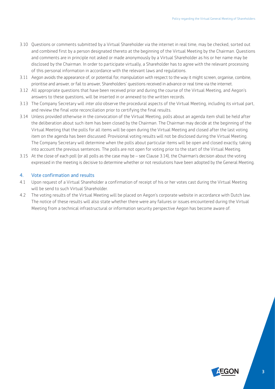- 3.10 Questions or comments submitted by a Virtual Shareholder via the internet in real time, may be checked, sorted out and combined first by a person designated thereto at the beginning of the Virtual Meeting by the Chairman. Questions and comments are in principle not asked or made anonymously by a Virtual Shareholder as his or her name may be disclosed by the Chairman. In order to participate virtually, a Shareholder has to agree with the relevant processing of this personal information in accordance with the relevant laws and regulations.
- 3.11 Aegon avoids the appearance of, or potential for, manipulation with respect to the way it might screen, organise, combine, prioritise and answer, or fail to answer, Shareholders' questions received in advance or real time via the internet.
- 3.12 All appropriate questions that have been received prior and during the course of the Virtual Meeting, and Aegon's answers to these questions, will be inserted in or annexed to the written records.
- 3.13 The Company Secretary will *inter alia* observe the procedural aspects of the Virtual Meeting, including its virtual part, and review the final vote reconciliation prior to certifying the final results.
- 3.14 Unless provided otherwise in the convocation of the Virtual Meeting, polls about an agenda item shall be held after the deliberation about such item has been closed by the Chairman. The Chairman may decide at the beginning of the Virtual Meeting that the polls for all items will be open during the Virtual Meeting and closed after the last voting item on the agenda has been discussed. Provisional voting results will not be disclosed during the Virtual Meeting. The Company Secretary will determine when the polls about particular items will be open and closed exactly, taking into account the previous sentences. The polls are not open for voting prior to the start of the Virtual Meeting.
- 3.15 At the close of each poll (or all polls as the case may be see Clause 3.14), the Chairman's decision about the voting expressed in the meeting is decisive to determine whether or not resolutions have been adopted by the General Meeting.

#### 4. Vote confirmation and results

- 4.1 Upon request of a Virtual Shareholder a confirmation of receipt of his or her votes cast during the Virtual Meeting will be send to such Virtual Shareholder.
- 4.2 The voting results of the Virtual Meeting will be placed on Aegon's corporate website in accordance with Dutch law. The notice of these results will also state whether there were any failures or issues encountered during the Virtual Meeting from a technical infrastructural or information security perspective Aegon has become aware of.